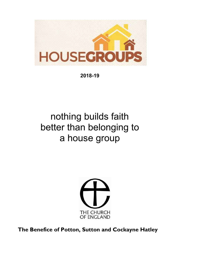

**2018-19** 

## nothing builds faith better than belonging to a house group



**The Benefice of Potton, Sutton and Cockayne Hatley**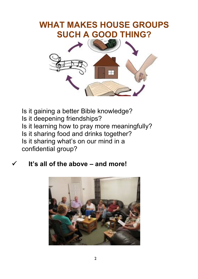### **WHAT MAKES HOUSE GROUPS SUCH A GOOD THING?**



Is it gaining a better Bible knowledge? Is it deepening friendships? Is it learning how to pray more meaningfully? Is it sharing food and drinks together? Is it sharing what's on our mind in a confidential group?

#### **It's all of the above – and more!**

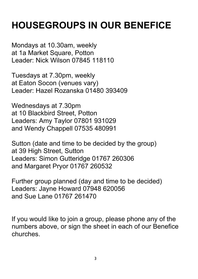# **HOUSEGROUPS IN OUR BENEFICE**

Mondays at 10.30am, weekly at 1a Market Square, Potton Leader: Nick Wilson 07845 118110

Tuesdays at 7.30pm, weekly at Eaton Socon (venues vary) Leader: Hazel Rozanska 01480 393409

Wednesdays at 7.30pm at 10 Blackbird Street, Potton Leaders: Amy Taylor 07801 931029 and Wendy Chappell 07535 480991

Sutton (date and time to be decided by the group) at 39 High Street, Sutton Leaders: Simon Gutteridge 01767 260306 and Margaret Pryor 01767 260532

Further group planned (day and time to be decided) Leaders: Jayne Howard 07948 620056 and Sue Lane 01767 261470

If you would like to join a group, please phone any of the numbers above, or sign the sheet in each of our Benefice churches.